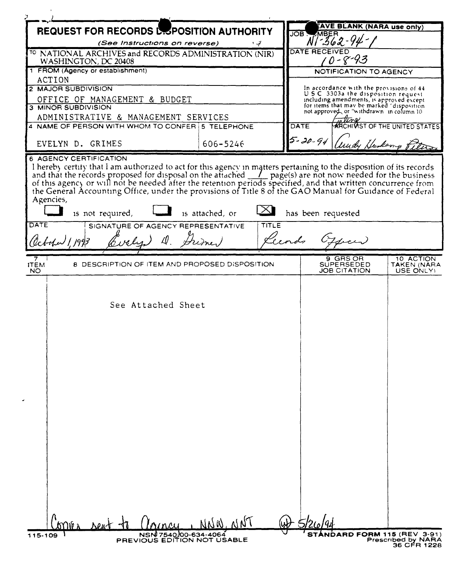| <b>REQUEST FOR RECORDS LESPOSITION AUTHORITY</b>                                                                                                                                                                        |                 |       | AVE BLANK (NARA use only)<br>JOB .<br>MBER |                                                                                   |
|-------------------------------------------------------------------------------------------------------------------------------------------------------------------------------------------------------------------------|-----------------|-------|--------------------------------------------|-----------------------------------------------------------------------------------|
| (See Instructions on reverse)<br>تي ۽                                                                                                                                                                                   |                 |       | $-362 - 94$                                |                                                                                   |
| TO NATIONAL ARCHIVES and RECORDS ADMINISTRATION (NIR)                                                                                                                                                                   |                 |       | <b>DATE RECEIVED</b>                       |                                                                                   |
| WASHINGTON, DC 20408                                                                                                                                                                                                    |                 |       | $0 - 8 - 93$                               |                                                                                   |
| 1 FROM (Agency or establishment)<br>ACTION                                                                                                                                                                              |                 |       | NOTIFICATION TO AGENCY                     |                                                                                   |
| 2 MAJOR SUBDIVISION                                                                                                                                                                                                     |                 |       |                                            | In accordance with the provisions of 44                                           |
| OFFICE OF MANAGEMENT & BUDGET                                                                                                                                                                                           |                 |       |                                            | U.S.C. 3303a the disposition request.<br>including amendments, is approved except |
| 3 MINOR SUBDIVISION                                                                                                                                                                                                     |                 |       |                                            | for items that may be marked 'disposition                                         |
| ADMINISTRATIVE & MANAGEMENT SERVICES                                                                                                                                                                                    |                 |       |                                            | not approved, or "withdrawn in column 10                                          |
| 4 NAME OF PERSON WITH WHOM TO CONFER 5 TELEPHONE                                                                                                                                                                        |                 |       | <b>DATE</b>                                | <b>ARCHIVIST OF THE UNITED STATES!</b>                                            |
|                                                                                                                                                                                                                         |                 |       | $5 - 20 - 94$                              |                                                                                   |
| EVELYN D. GRIMES                                                                                                                                                                                                        | 606-5246        |       |                                            | undy Huskamp f.                                                                   |
| the General Accounting Office, under the provisions of Title 8 of the GAO Manual for Guidance of Federal<br>Agencies,<br>is not required,<br>DATE<br>SIGNATURE OF AGENCY REPRESENTATIVE<br>D. Frimer<br>lebohar 1, 1993 | is attached, or | TITLE | has been requested<br>Lecords Officer      |                                                                                   |
|                                                                                                                                                                                                                         |                 |       |                                            |                                                                                   |
| 8 DESCRIPTION OF ITEM AND PROPOSED DISPOSITION<br><b>ITEM</b><br><b>NO</b>                                                                                                                                              |                 |       | 9  GRS OR<br>SUPERSEDED<br>JOB CITATION    | 10 ACTION<br>TAKEN (NARA<br>USE ONLY)                                             |
| See Attached Sheet                                                                                                                                                                                                      |                 |       |                                            |                                                                                   |
|                                                                                                                                                                                                                         |                 |       |                                            |                                                                                   |